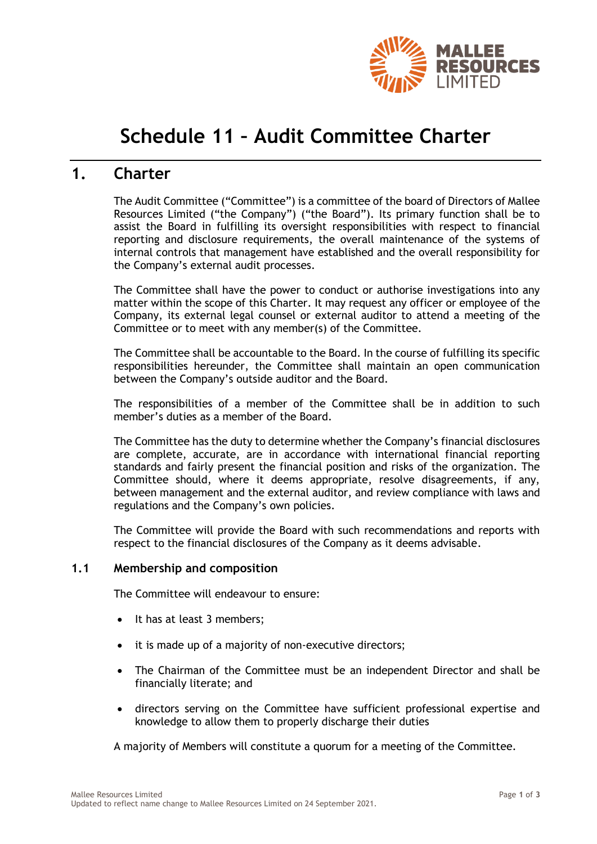

# **Schedule 11 – Audit Committee Charter**

# **1. Charter**

The Audit Committee ("Committee") is a committee of the board of Directors of Mallee Resources Limited ("the Company") ("the Board"). Its primary function shall be to assist the Board in fulfilling its oversight responsibilities with respect to financial reporting and disclosure requirements, the overall maintenance of the systems of internal controls that management have established and the overall responsibility for the Company's external audit processes.

The Committee shall have the power to conduct or authorise investigations into any matter within the scope of this Charter. It may request any officer or employee of the Company, its external legal counsel or external auditor to attend a meeting of the Committee or to meet with any member(s) of the Committee.

The Committee shall be accountable to the Board. In the course of fulfilling its specific responsibilities hereunder, the Committee shall maintain an open communication between the Company's outside auditor and the Board.

The responsibilities of a member of the Committee shall be in addition to such member's duties as a member of the Board.

The Committee has the duty to determine whether the Company's financial disclosures are complete, accurate, are in accordance with international financial reporting standards and fairly present the financial position and risks of the organization. The Committee should, where it deems appropriate, resolve disagreements, if any, between management and the external auditor, and review compliance with laws and regulations and the Company's own policies.

The Committee will provide the Board with such recommendations and reports with respect to the financial disclosures of the Company as it deems advisable.

# **1.1 Membership and composition**

The Committee will endeavour to ensure:

- It has at least 3 members;
- it is made up of a majority of non-executive directors;
- The Chairman of the Committee must be an independent Director and shall be financially literate; and
- directors serving on the Committee have sufficient professional expertise and knowledge to allow them to properly discharge their duties

A majority of Members will constitute a quorum for a meeting of the Committee.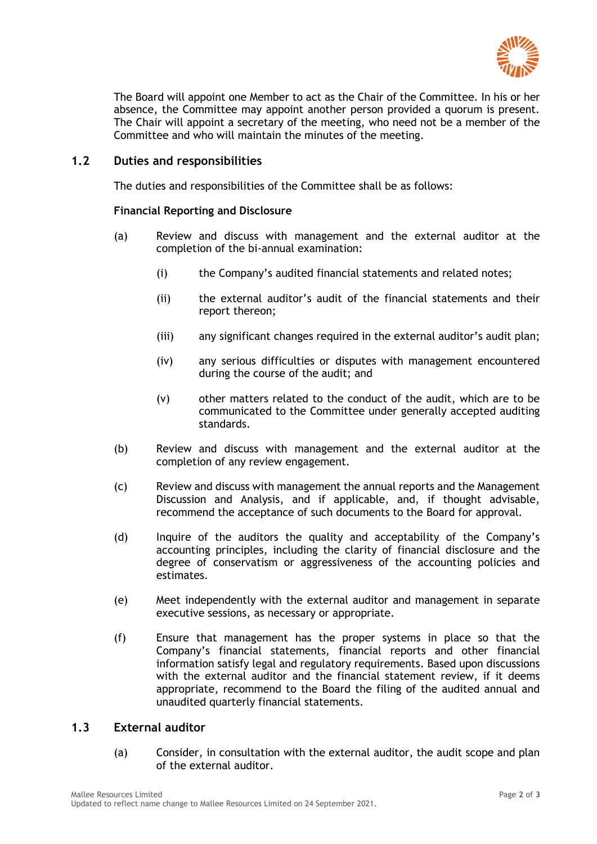

The Board will appoint one Member to act as the Chair of the Committee. In his or her absence, the Committee may appoint another person provided a quorum is present. The Chair will appoint a secretary of the meeting, who need not be a member of the Committee and who will maintain the minutes of the meeting.

# **1.2 Duties and responsibilities**

The duties and responsibilities of the Committee shall be as follows:

#### **Financial Reporting and Disclosure**

- (a) Review and discuss with management and the external auditor at the completion of the bi-annual examination:
	- (i) the Company's audited financial statements and related notes;
	- (ii) the external auditor's audit of the financial statements and their report thereon;
	- (iii) any significant changes required in the external auditor's audit plan;
	- (iv) any serious difficulties or disputes with management encountered during the course of the audit; and
	- (v) other matters related to the conduct of the audit, which are to be communicated to the Committee under generally accepted auditing standards.
- (b) Review and discuss with management and the external auditor at the completion of any review engagement.
- (c) Review and discuss with management the annual reports and the Management Discussion and Analysis, and if applicable, and, if thought advisable, recommend the acceptance of such documents to the Board for approval.
- (d) Inquire of the auditors the quality and acceptability of the Company's accounting principles, including the clarity of financial disclosure and the degree of conservatism or aggressiveness of the accounting policies and estimates.
- (e) Meet independently with the external auditor and management in separate executive sessions, as necessary or appropriate.
- (f) Ensure that management has the proper systems in place so that the Company's financial statements, financial reports and other financial information satisfy legal and regulatory requirements. Based upon discussions with the external auditor and the financial statement review, if it deems appropriate, recommend to the Board the filing of the audited annual and unaudited quarterly financial statements.

# **1.3 External auditor**

(a) Consider, in consultation with the external auditor, the audit scope and plan of the external auditor.